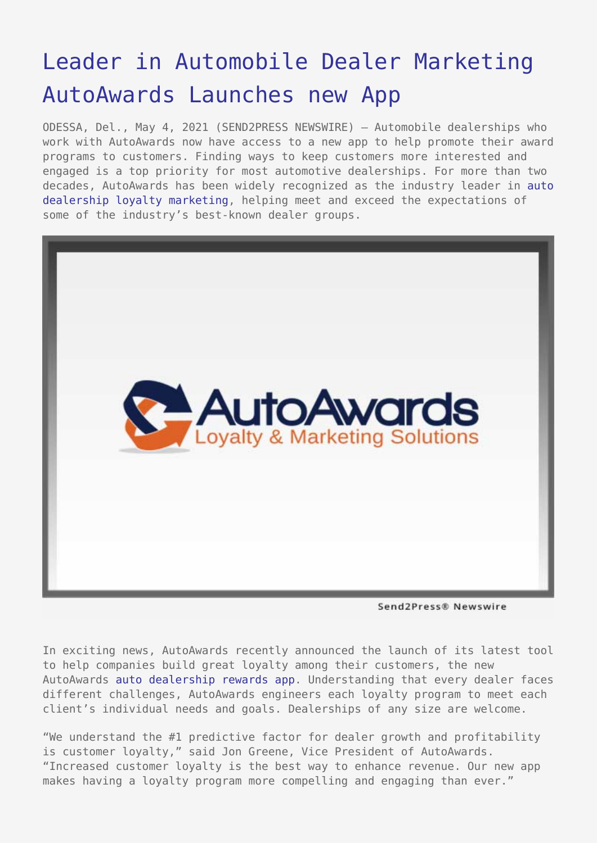## [Leader in Automobile Dealer Marketing](https://www.send2press.com/wire/leader-in-automobile-dealer-marketing-autoawards-launches-new-app/) [AutoAwards Launches new App](https://www.send2press.com/wire/leader-in-automobile-dealer-marketing-autoawards-launches-new-app/)

ODESSA, Del., May 4, 2021 (SEND2PRESS NEWSWIRE) — Automobile dealerships who work with AutoAwards now have access to a new app to help promote their award programs to customers. Finding ways to keep customers more interested and engaged is a top priority for most automotive dealerships. For more than two decades, AutoAwards has been widely recognized as the industry leader in [auto](http://www.autoawards.com/automotive-customer-loyalty-programs/) [dealership loyalty marketing,](http://www.autoawards.com/automotive-customer-loyalty-programs/) helping meet and exceed the expectations of some of the industry's best-known dealer groups.



Send2Press® Newswire

In exciting news, AutoAwards recently announced the launch of its latest tool to help companies build great loyalty among their customers, the new AutoAwards [auto dealership rewards app](http://www.autoawards.com/automotive-dealership-rewards-app/). Understanding that every dealer faces different challenges, AutoAwards engineers each loyalty program to meet each client's individual needs and goals. Dealerships of any size are welcome.

"We understand the #1 predictive factor for dealer growth and profitability is customer loyalty," said Jon Greene, Vice President of AutoAwards. "Increased customer loyalty is the best way to enhance revenue. Our new app makes having a loyalty program more compelling and engaging than ever."